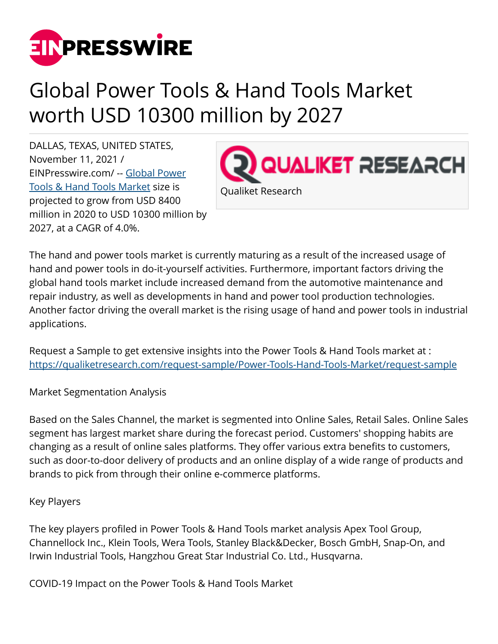

## Global Power Tools & Hand Tools Market worth USD 10300 million by 2027

DALLAS, TEXAS, UNITED STATES, November 11, 2021 / [EINPresswire.com](http://www.einpresswire.com)/ -- [Global Power](https://qualiketresearch.com/reports-details/Power-Tools-Hand-Tools-Market) [Tools & Hand Tools Market](https://qualiketresearch.com/reports-details/Power-Tools-Hand-Tools-Market) size is projected to grow from USD 8400 million in 2020 to USD 10300 million by 2027, at a CAGR of 4.0%.



The hand and power tools market is currently maturing as a result of the increased usage of hand and power tools in do-it-yourself activities. Furthermore, important factors driving the global hand tools market include increased demand from the automotive maintenance and repair industry, as well as developments in hand and power tool production technologies. Another factor driving the overall market is the rising usage of hand and power tools in industrial applications.

Request a Sample to get extensive insights into the Power Tools & Hand Tools market at : <https://qualiketresearch.com/request-sample/Power-Tools-Hand-Tools-Market/request-sample>

Market Segmentation Analysis

Based on the Sales Channel, the market is segmented into Online Sales, Retail Sales. Online Sales segment has largest market share during the forecast period. Customers' shopping habits are changing as a result of online sales platforms. They offer various extra benefits to customers, such as door-to-door delivery of products and an online display of a wide range of products and brands to pick from through their online e-commerce platforms.

## Key Players

The key players profiled in Power Tools & Hand Tools market analysis Apex Tool Group, Channellock Inc., Klein Tools, Wera Tools, Stanley Black&Decker, Bosch GmbH, Snap-On, and Irwin Industrial Tools, Hangzhou Great Star Industrial Co. Ltd., Husqvarna.

COVID-19 Impact on the Power Tools & Hand Tools Market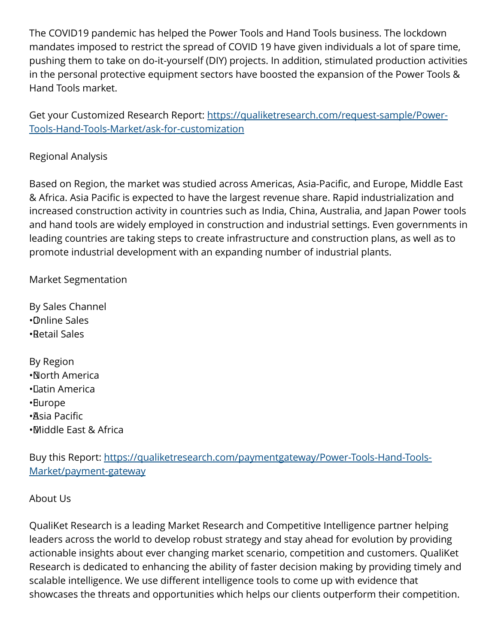The COVID19 pandemic has helped the Power Tools and Hand Tools business. The lockdown mandates imposed to restrict the spread of COVID 19 have given individuals a lot of spare time, pushing them to take on do-it-yourself (DIY) projects. In addition, stimulated production activities in the personal protective equipment sectors have boosted the expansion of the Power Tools & Hand Tools market.

Get your Customized Research Report: [https://qualiketresearch.com/request-sample/Power-](https://qualiketresearch.com/request-sample/Power-Tools-Hand-Tools-Market/ask-for-customization)[Tools-Hand-Tools-Market/ask-for-customization](https://qualiketresearch.com/request-sample/Power-Tools-Hand-Tools-Market/ask-for-customization)

## Regional Analysis

Based on Region, the market was studied across Americas, Asia-Pacific, and Europe, Middle East & Africa. Asia Pacific is expected to have the largest revenue share. Rapid industrialization and increased construction activity in countries such as India, China, Australia, and Japan Power tools and hand tools are widely employed in construction and industrial settings. Even governments in leading countries are taking steps to create infrastructure and construction plans, as well as to promote industrial development with an expanding number of industrial plants.

Market Segmentation

By Sales Channel • Online Sales • Retail Sales

By Region • North America • Latin America • Europe • Asia Pacific • Middle East & Africa

Buy this Report: [https://qualiketresearch.com/paymentgateway/Power-Tools-Hand-Tools-](https://qualiketresearch.com/paymentgateway/Power-Tools-Hand-Tools-Market/payment-gateway)[Market/payment-gateway](https://qualiketresearch.com/paymentgateway/Power-Tools-Hand-Tools-Market/payment-gateway)

## About Us

QualiKet Research is a leading Market Research and Competitive Intelligence partner helping leaders across the world to develop robust strategy and stay ahead for evolution by providing actionable insights about ever changing market scenario, competition and customers. QualiKet Research is dedicated to enhancing the ability of faster decision making by providing timely and scalable intelligence. We use different intelligence tools to come up with evidence that showcases the threats and opportunities which helps our clients outperform their competition.